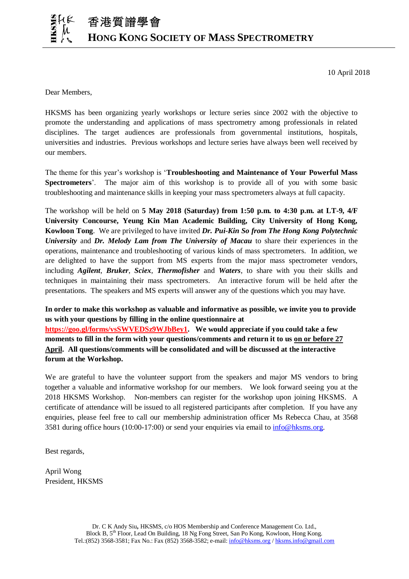10 April 2018

Dear Members,

HKSMS has been organizing yearly workshops or lecture series since 2002 with the objective to promote the understanding and applications of mass spectrometry among professionals in related disciplines. The target audiences are professionals from governmental institutions, hospitals, universities and industries. Previous workshops and lecture series have always been well received by our members.

The theme for this year's workshop is '**Troubleshooting and Maintenance of Your Powerful Mass Spectrometers**'. The major aim of this workshop is to provide all of you with some basic troubleshooting and maintenance skills in keeping your mass spectrometers always at full capacity.

The workshop will be held on **5 May 2018 (Saturday) from 1:50 p.m. to 4:30 p.m. at LT-9, 4/F University Concourse, Yeung Kin Man Academic Building, City University of Hong Kong, Kowloon Tong**. We are privileged to have invited *Dr. Pui-Kin So from The Hong Kong Polytechnic University* and *Dr. Melody Lam from The University of Macau* to share their experiences in the operations, maintenance and troubleshooting of various kinds of mass spectrometers. In addition, we are delighted to have the support from MS experts from the major mass spectrometer vendors, including *Agilent*, *Bruker*, *Sciex*, *Thermofisher* and *Waters*, to share with you their skills and techniques in maintaining their mass spectrometers. An interactive forum will be held after the presentations. The speakers and MS experts will answer any of the questions which you may have.

**In order to make this workshop as valuable and informative as possible, we invite you to provide us with your questions by filling in the online questionnaire at [https://goo.gl/forms/vsSWVEDSz9WJbBey1.](https://goo.gl/forms/vsSWVEDSz9WJbBey1) We would appreciate if you could take a few moments to fill in the form with your questions/comments and return it to us on or before 27 April. All questions/comments will be consolidated and will be discussed at the interactive forum at the Workshop.** 

We are grateful to have the volunteer support from the speakers and major MS vendors to bring together a valuable and informative workshop for our members. We look forward seeing you at the 2018 HKSMS Workshop. Non-members can register for the workshop upon joining HKSMS. A certificate of attendance will be issued to all registered participants after completion. If you have any enquiries, please feel free to call our membership administration officer Ms Rebecca Chau, at 3568 3581 during office hours (10:00-17:00) or send your enquiries via email to [info@hksms.org.](mailto:info@hksms.org)

Best regards,

April Wong President, HKSMS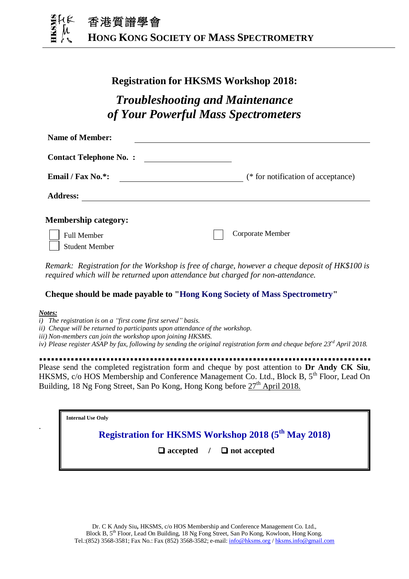

### **Registration for HKSMS Workshop 2018:**

## *Troubleshooting and Maintenance of Your Powerful Mass Spectrometers*

| <b>Name of Member:</b>        |                                    |
|-------------------------------|------------------------------------|
| <b>Contact Telephone No.:</b> |                                    |
| Email / Fax No.*:             | (* for notification of acceptance) |
| <b>Address:</b>               |                                    |
| <b>Membership category:</b>   |                                    |
| <b>Full Member</b>            | Corporate Member                   |
| <b>Student Member</b>         |                                    |

*Remark: Registration for the Workshop is free of charge, however a cheque deposit of HK\$100 is required which will be returned upon attendance but charged for non-attendance.*

### **Cheque should be made payable to "Hong Kong Society of Mass Spectrometry"**

#### *Notes:*

.

- *i) The registration is on a "first come first served" basis.*
- *ii) Cheque will be returned to participants upon attendance of the workshop.*
- *iii) Non-members can join the workshop upon joining HKSMS.*
- *iv) Please register ASAP by fax, following by sending the original registration form and cheque before 23 rd April 2018.*

# Please send the completed registration form and cheque by post attention to **Dr Andy CK Siu**,

HKSMS, c/o HOS Membership and Conference Management Co. Ltd., Block B, 5<sup>th</sup> Floor, Lead On Building, 18 Ng Fong Street, San Po Kong, Hong Kong before  $27^{\text{th}}$  April 2018.

 **Suid Fisher Constant Constant Constant Constant Constant Constant Constant Constant Constant Constant Constant Constant Constant Constant Constant Constant Constant Constant Constant Constant Constant Constant Constant C** 

## **Registration for HKSMS Workshop 2018 (5 th May 2018)**

 **accepted / not accepted**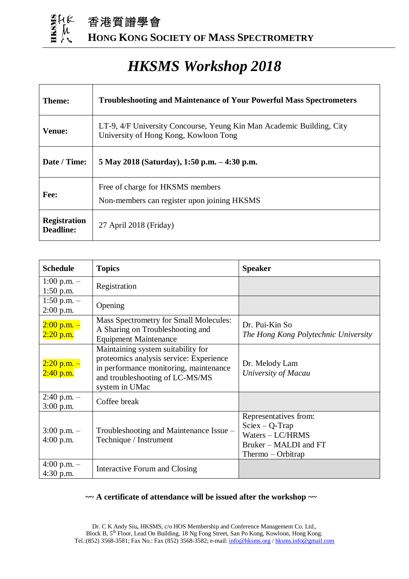

香港質譜學會 **HONG KONG SOCIETY OF MASS SPECTROMETRY**

## *HKSMS Workshop 2018*

| Theme:                                  | <b>Troubleshooting and Maintenance of Your Powerful Mass Spectrometers</b>                                     |  |
|-----------------------------------------|----------------------------------------------------------------------------------------------------------------|--|
| <b>Venue:</b>                           | LT-9, 4/F University Concourse, Yeung Kin Man Academic Building, City<br>University of Hong Kong, Kowloon Tong |  |
| Date / Time:                            | 5 May 2018 (Saturday), 1:50 p.m. – 4:30 p.m.                                                                   |  |
| Fee:                                    | Free of charge for HKSMS members<br>Non-members can register upon joining HKSMS                                |  |
| <b>Registration</b><br><b>Deadline:</b> | $27$ April $2018$ (Friday)                                                                                     |  |

| <b>Schedule</b>                | <b>Topics</b>                                                                                                                                                                | <b>Speaker</b>                                                                                                |
|--------------------------------|------------------------------------------------------------------------------------------------------------------------------------------------------------------------------|---------------------------------------------------------------------------------------------------------------|
| $1:00$ p.m. $-$<br>$1:50$ p.m. | Registration                                                                                                                                                                 |                                                                                                               |
| 1:50 p.m. $-$<br>$2:00$ p.m.   | Opening                                                                                                                                                                      |                                                                                                               |
| $2:00$ p.m. $-$<br>$2:20$ p.m. | Mass Spectrometry for Small Molecules:<br>A Sharing on Troubleshooting and<br><b>Equipment Maintenance</b>                                                                   | Dr. Pui-Kin So<br>The Hong Kong Polytechnic University                                                        |
| $2:20$ p.m. $-$<br>$2:40$ p.m. | Maintaining system suitability for<br>proteomics analysis service: Experience<br>in performance monitoring, maintenance<br>and troubleshooting of LC-MS/MS<br>system in UMac | Dr. Melody Lam<br>University of Macau                                                                         |
| $2:40$ p.m. $-$<br>$3:00$ p.m. | Coffee break                                                                                                                                                                 |                                                                                                               |
| $3:00$ p.m. $-$<br>$4:00$ p.m. | Troubleshooting and Maintenance Issue –<br>Technique / Instrument                                                                                                            | Representatives from:<br>$Sciex - Q-Trap$<br>Waters - LC/HRMS<br>Bruker – MALDI and FT<br>$Thermo - Orbitrap$ |
| $4:00$ p.m. $-$<br>4:30 p.m.   | Interactive Forum and Closing                                                                                                                                                |                                                                                                               |

### **~~ A certificate of attendance will be issued after the workshop ~~**